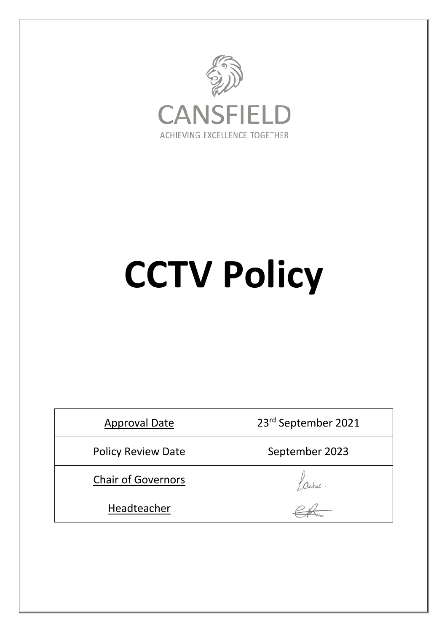

# **CCTV Policy**

| <b>Approval Date</b>      | 23rd September 2021 |
|---------------------------|---------------------|
| Policy Review Date        | September 2023      |
| <b>Chair of Governors</b> |                     |
| Headteacher               |                     |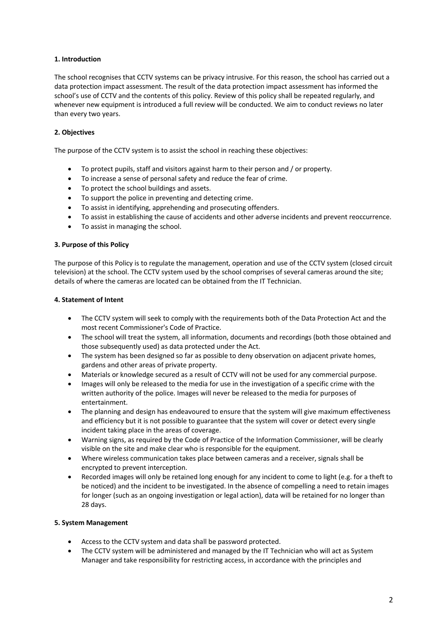### **1. Introduction**

The school recognises that CCTV systems can be privacy intrusive. For this reason, the school has carried out a data protection impact assessment. The result of the data protection impact assessment has informed the school's use of CCTV and the contents of this policy. Review of this policy shall be repeated regularly, and whenever new equipment is introduced a full review will be conducted. We aim to conduct reviews no later than every two years.

# **2. Objectives**

The purpose of the CCTV system is to assist the school in reaching these objectives:

- To protect pupils, staff and visitors against harm to their person and / or property.
- To increase a sense of personal safety and reduce the fear of crime.
- To protect the school buildings and assets.
- To support the police in preventing and detecting crime.
- To assist in identifying, apprehending and prosecuting offenders.
- To assist in establishing the cause of accidents and other adverse incidents and prevent reoccurrence.
- To assist in managing the school.

### **3. Purpose of this Policy**

The purpose of this Policy is to regulate the management, operation and use of the CCTV system (closed circuit television) at the school. The CCTV system used by the school comprises of several cameras around the site; details of where the cameras are located can be obtained from the IT Technician.

### **4. Statement of Intent**

- The CCTV system will seek to comply with the requirements both of the Data Protection Act and the most recent Commissioner's Code of Practice.
- The school will treat the system, all information, documents and recordings (both those obtained and those subsequently used) as data protected under the Act.
- The system has been designed so far as possible to deny observation on adjacent private homes, gardens and other areas of private property.
- Materials or knowledge secured as a result of CCTV will not be used for any commercial purpose.
- Images will only be released to the media for use in the investigation of a specific crime with the written authority of the police. Images will never be released to the media for purposes of entertainment.
- The planning and design has endeavoured to ensure that the system will give maximum effectiveness and efficiency but it is not possible to guarantee that the system will cover or detect every single incident taking place in the areas of coverage.
- Warning signs, as required by the Code of Practice of the Information Commissioner, will be clearly visible on the site and make clear who is responsible for the equipment.
- Where wireless communication takes place between cameras and a receiver, signals shall be encrypted to prevent interception.
- Recorded images will only be retained long enough for any incident to come to light (e.g. for a theft to be noticed) and the incident to be investigated. In the absence of compelling a need to retain images for longer (such as an ongoing investigation or legal action), data will be retained for no longer than 28 days.

### **5. System Management**

- Access to the CCTV system and data shall be password protected.
- The CCTV system will be administered and managed by the IT Technician who will act as System Manager and take responsibility for restricting access, in accordance with the principles and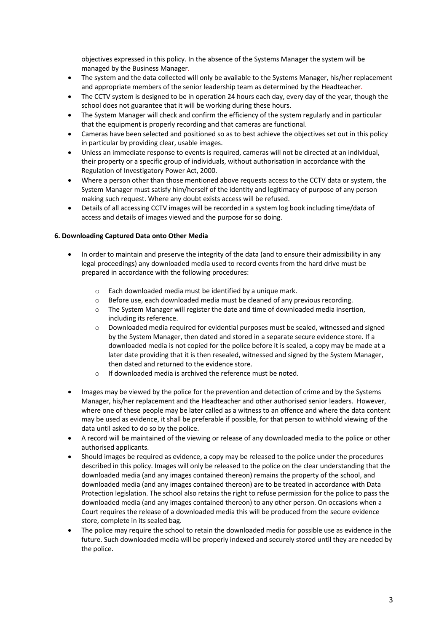objectives expressed in this policy. In the absence of the Systems Manager the system will be managed by the Business Manager.

- The system and the data collected will only be available to the Systems Manager, his/her replacement and appropriate members of the senior leadership team as determined by the Headteacher.
- The CCTV system is designed to be in operation 24 hours each day, every day of the year, though the school does not guarantee that it will be working during these hours.
- The System Manager will check and confirm the efficiency of the system regularly and in particular that the equipment is properly recording and that cameras are functional.
- Cameras have been selected and positioned so as to best achieve the objectives set out in this policy in particular by providing clear, usable images.
- Unless an immediate response to events is required, cameras will not be directed at an individual, their property or a specific group of individuals, without authorisation in accordance with the Regulation of Investigatory Power Act, 2000.
- Where a person other than those mentioned above requests access to the CCTV data or system, the System Manager must satisfy him/herself of the identity and legitimacy of purpose of any person making such request. Where any doubt exists access will be refused.
- Details of all accessing CCTV images will be recorded in a system log book including time/data of access and details of images viewed and the purpose for so doing.

#### **6. Downloading Captured Data onto Other Media**

- In order to maintain and preserve the integrity of the data (and to ensure their admissibility in any legal proceedings) any downloaded media used to record events from the hard drive must be prepared in accordance with the following procedures:
	- o Each downloaded media must be identified by a unique mark.
	- $\circ$  Before use, each downloaded media must be cleaned of any previous recording.
	- $\circ$  The System Manager will register the date and time of downloaded media insertion, including its reference.
	- $\circ$  Downloaded media required for evidential purposes must be sealed, witnessed and signed by the System Manager, then dated and stored in a separate secure evidence store. If a downloaded media is not copied for the police before it is sealed, a copy may be made at a later date providing that it is then resealed, witnessed and signed by the System Manager, then dated and returned to the evidence store.
	- o If downloaded media is archived the reference must be noted.
- Images may be viewed by the police for the prevention and detection of crime and by the Systems Manager, his/her replacement and the Headteacher and other authorised senior leaders. However, where one of these people may be later called as a witness to an offence and where the data content may be used as evidence, it shall be preferable if possible, for that person to withhold viewing of the data until asked to do so by the police.
- A record will be maintained of the viewing or release of any downloaded media to the police or other authorised applicants.
- Should images be required as evidence, a copy may be released to the police under the procedures described in this policy. Images will only be released to the police on the clear understanding that the downloaded media (and any images contained thereon) remains the property of the school, and downloaded media (and any images contained thereon) are to be treated in accordance with Data Protection legislation. The school also retains the right to refuse permission for the police to pass the downloaded media (and any images contained thereon) to any other person. On occasions when a Court requires the release of a downloaded media this will be produced from the secure evidence store, complete in its sealed bag.
- The police may require the school to retain the downloaded media for possible use as evidence in the future. Such downloaded media will be properly indexed and securely stored until they are needed by the police.